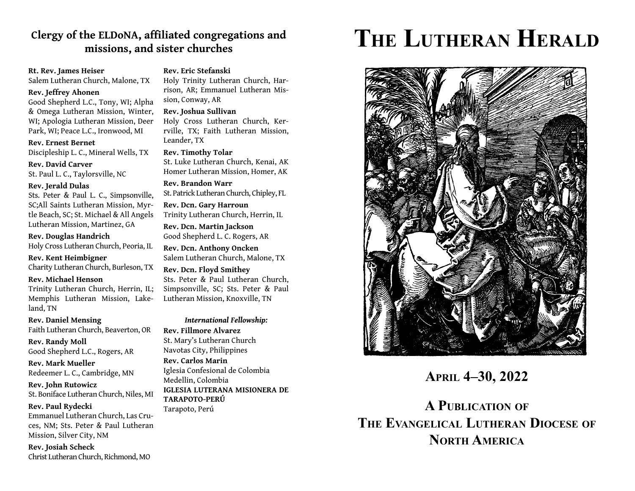## Clergy of the ELDoNA, affiliated congregations and **missions, and sister churches**

## **Rt. Rev. James Heiser**

Salem Lutheran Church, Malone, TX

## **Rev. Jeffrey Ahonen**

Good Shepherd L.C., Tony, WI; Alpha & Omega Lutheran Mission, Winter, WI; Apologia Lutheran Mission, Deer Park, WI; Peace L.C., Ironwood, MI

#### **Rev. Ernest Bernet**

Discipleship L. C., Mineral Wells, TX

**Rev. David Carver**St. Paul L. C., Taylorsville, NC

#### **Rev. Jerald Dulas**

Sts. Peter & Paul L. C., Simpsonville, SC;All Saints Lutheran Mission, Myrtle Beach, SC; St. Michael & All Angels Lutheran Mission, Martinez, GA

#### **Rev. Douglas Handrich**

Holy Cross Lutheran Church, Peoria, IL

#### **Rev. Kent Heimbigner**

Charity Lutheran Church, Burleson, TX

## **Rev. Michael Henson**

Trinity Lutheran Church, Herrin, IL; Memphis Lutheran Mission, Lakeland, TN

**Rev. Daniel Mensing** Faith Lutheran Church, Beaverton, OR

**Rev. Randy Moll** Good Shepherd L.C., Rogers, AR

**Rev. Mark Mueller**Redeemer L. C., Cambridge, MN

**Rev. John Rutowicz** St. Boniface Lutheran Church, Niles, MI

#### **Rev. Paul Rydecki**

Emmanuel Lutheran Church, Las Cruces, NM; Sts. Peter & Paul Lutheran Mission, Silver City, NM

**Rev. Josiah Scheck** Christ Lutheran Church, Richmond, MO

## **Rev. Eric Stefanski**

Holy Trinity Lutheran Church, Harrison, AR; Emmanuel Lutheran Mission, Conway, AR

#### **Rev. Joshua Sullivan**

Holy Cross Lutheran Church, Kerrville, TX; Faith Lutheran Mission, Leander, TX

#### **Rev. Timothy Tolar**

St. Luke Lutheran Church, Kenai, AK Homer Lutheran Mission, Homer, AK

**Rev. Brandon Warr**St. Patrick Lutheran Church, Chipley, FL

**Rev. Dcn. Gary Harroun** Trinity Lutheran Church, Herrin, IL

**Rev. Dcn. Martin Jackson** Good Shepherd L. C. Rogers, AR

**Rev. Dcn. Anthony Oncken** Salem Lutheran Church, Malone, TX

**Rev. Dcn. Floyd Smithey** Sts. Peter & Paul Lutheran Church, Simpsonville, SC; Sts. Peter & Paul Lutheran Mission, Knoxville, TN

## *International Fellowship:* **Rev. Fillmore Alvarez**St. Mary's Lutheran Church Navotas City, Philippines **Rev. Carlos Marin**Iglesia Confesional de Colombia

Medellin, Colombia **IGLESIA LUTERANA MISIONERA DE TARAPOTO-PERÚ**

Tarapoto, Perú

# **THE LUTHERAN HERALD**



**APRIL 4–30, 2022**

**A PUBLICATION OF THE EVANGELICAL LUTHERAN DIOCESE OF NORTH AMERICA**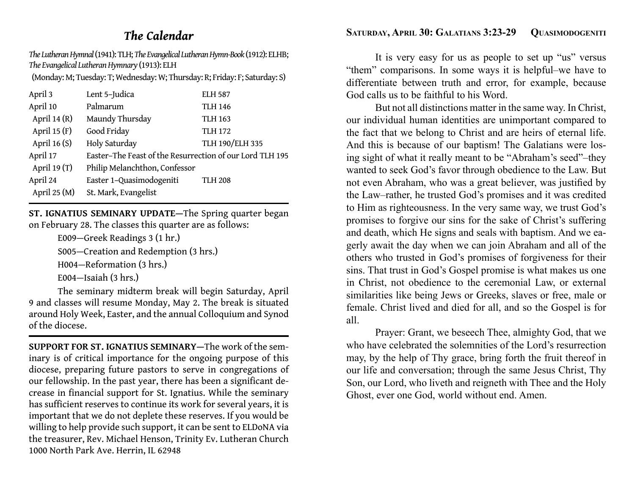## *The Calendar*

*The Lutheran Hymnal* (1941): TLH; *The Evangelical Lutheran Hymn-Book* (1912): ELHB; *The Evangelical Lutheran Hymnary* (1913): ELH

(Monday: M; Tuesday: T; Wednesday: W; Thursday: R; Friday: F; Saturday: S)

| April 3        | Lent 5-Judica                                            | <b>ELH 587</b>  |
|----------------|----------------------------------------------------------|-----------------|
| April 10       | Palmarum                                                 | <b>TLH 146</b>  |
| April 14 $(R)$ | Maundy Thursday                                          | <b>TLH 163</b>  |
| April 15 $(F)$ | Good Friday                                              | <b>TLH 172</b>  |
| April 16 $(S)$ | Holy Saturday                                            | TLH 190/ELH 335 |
| April 17       | Easter-The Feast of the Resurrection of our Lord TLH 195 |                 |
| April 19 $(T)$ | Philip Melanchthon, Confessor                            |                 |
| April 24       | Easter 1-Quasimodogeniti                                 | <b>TLH 208</b>  |
| April $25(M)$  | St. Mark, Evangelist                                     |                 |

**ST. IGNATIUS SEMINARY UPDATE—**The Spring quarter began on February 28. The classes this quarter are as follows:

E009—Greek Readings 3 (1 hr.)

S005—Creation and Redemption (3 hrs.)

H004—Reformation (3 hrs.)

E004—Isaiah (3 hrs.)

 The seminary midterm break will begin Saturday, April 9 and classes will resume Monday, May 2. The break is situated around Holy Week, Easter, and the annual Colloquium and Synod of the diocese.

**SUPPORT FOR ST. IGNATIUS SEMINARY—**The work of the seminary is of critical importance for the ongoing purpose of this diocese, preparing future pastors to serve in congregations of our fellowship. In the past year, there has been a signi fi cant decrease in financial support for St. Ignatius. While the seminary has sufficient reserves to continue its work for several years, it is important that we do not deplete these reserves. If you would be willing to help provide such support, it can be sent to ELDoNA via the treasurer, Rev. Michael Henson, Trinity Ev. Lutheran Church 1000 North Park Ave. Herrin, IL 62948

## SATURDAY, APRIL 30: GALATIANS 3:23-29 **QUASIMODOGENITI**

 It is very easy for us as people to set up "us" versus "them" comparisons. In some ways it is helpful–we have to differentiate between truth and error, for example, because God calls us to be faithful to his Word.

 But not all distinctions matter in the same way. In Christ, our individual human identities are unimportant compared to the fact that we belong to Christ and are heirs of eternal life. And this is because of our baptism! The Galatians were losing sight of what it really meant to be "Abraham's seed"–they wanted to seek God's favor through obedience to the Law. But not even Abraham, who was a great believer, was justified by the Law–rather, he trusted God's promises and it was credited to Him as righteousness. In the very same way, we trust God's promises to forgive our sins for the sake of Christ's suffering and death, which He signs and seals with baptism. And we eagerly await the day when we can join Abraham and all of the others who trusted in God's promises of forgiveness for their sins. That trust in God's Gospel promise is what makes us one in Christ, not obedience to the ceremonial Law, or external similarities like being Jews or Greeks, slaves or free, male or female. Christ lived and died for all, and so the Gospel is for all.

 Prayer: Grant, we beseech Thee, almighty God, that we who have celebrated the solemnities of the Lord's resurrection may, by the help of Thy grace, bring forth the fruit thereof in our life and conversation; through the same Jesus Christ, Thy Son, our Lord, who liveth and reigneth with Thee and the Holy Ghost, ever one God, world without end. Amen.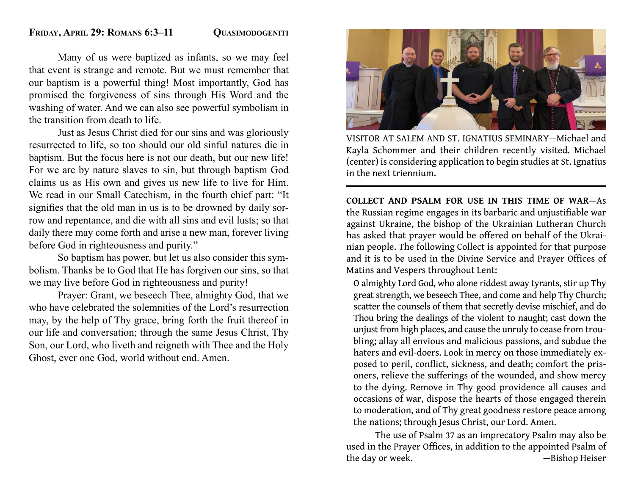## FRIDAY, APRIL 29: ROMANS 6:3-11 **QUASIMODOGENITI**

 Many of us were baptized as infants, so we may feel that event is strange and remote. But we must remember that our baptism is a powerful thing! Most importantly, God has promised the forgiveness of sins through His Word and the washing of water. And we can also see powerful symbolism in the transition from death to life.

 Just as Jesus Christ died for our sins and was gloriously resurrected to life, so too should our old sinful natures die in baptism. But the focus here is not our death, but our new life! For we are by nature slaves to sin, but through baptism God claims us as His own and gives us new life to live for Him. We read in our Small Catechism, in the fourth chief part: "It signifies that the old man in us is to be drowned by daily sorrow and repentance, and die with all sins and evil lusts; so that daily there may come forth and arise a new man, forever living before God in righteousness and purity."

 So baptism has power, but let us also consider this symbolism. Thanks be to God that He has forgiven our sins, so that we may live before God in righteousness and purity!

 Prayer: Grant, we beseech Thee, almighty God, that we who have celebrated the solemnities of the Lord's resurrection may, by the help of Thy grace, bring forth the fruit thereof in our life and conversation; through the same Jesus Christ, Thy Son, our Lord, who liveth and reigneth with Thee and the Holy Ghost, ever one God, world without end. Amen.



VISITOR AT SALEM AND ST. IGNATIUS SEMINARY—Michael and Kayla Schommer and their children recently visited. Michael (center) is considering application to begin studies at St. Ignatius in the next triennium.

**COLLECT AND PSALM FOR USE IN THIS TIME OF WAR**—As the Russian regime engages in its barbaric and unjusti fi able war against Ukraine, the bishop of the Ukrainian Lutheran Church has asked that prayer would be offered on behalf of the Ukrainian people. The following Collect is appointed for that purpose and it is to be used in the Divine Service and Prayer Offices of Matins and Vespers throughout Lent:

O almighty Lord God, who alone riddest away tyrants, stir up Thy great strength, we beseech Thee, and come and help Thy Church; scatter the counsels of them that secretly devise mischief, and do Thou bring the dealings of the violent to naught; cast down the unjust from high places, and cause the unruly to cease from troubling; allay all envious and malicious passions, and subdue the haters and evil-doers. Look in mercy on those immediately exposed to peril, conflict, sickness, and death; comfort the prisoners, relieve the sufferings of the wounded, and show mercy to the dying. Remove in Thy good providence all causes and occasions of war, dispose the hearts of those engaged therein to moderation, and of Thy great goodness restore peace among the nations; through Jesus Christ, our Lord. Amen.

 The use of Psalm 37 as an imprecatory Psalm may also be used in the Prayer Offices, in addition to the appointed Psalm of the day or week. — — — — — — — — Bishop Heiser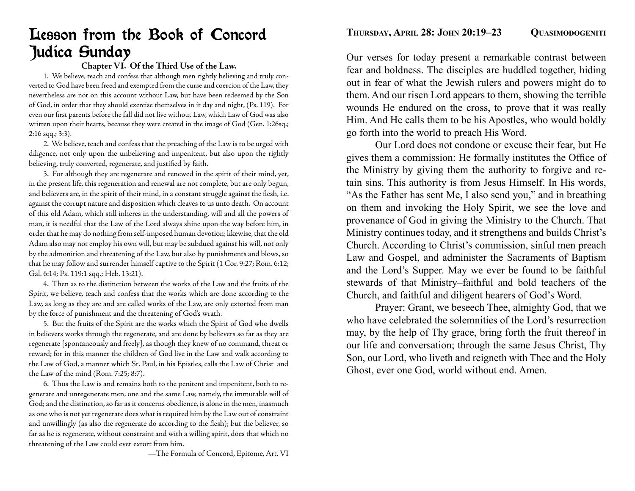# Lesson from the Book of Concord Judica Sunday

## **Chapter VI. Of the Third Use of the Law.**

 1. We believe, teach and confess that although men rightly believing and truly converted to God have been freed and exempted from the curse and coercion of the Law, they nevertheless are not on this account without Law, but have been redeemed by the Son of God, in order that they should exercise themselves in it day and night, (Ps. 119). For even our first parents before the fall did not live without Law, which Law of God was also written upon their hearts, because they were created in the image of God (Gen. 1:26sq.; 2:16 sqq.; 3:3).

 2. We believe, teach and confess that the preaching of the Law is to be urged with diligence, not only upon the unbelieving and impenitent, but also upon the rightly believing, truly converted, regenerate, and justified by faith.

 3. For although they are regenerate and renewed in the spirit of their mind, yet, in the present life, this regeneration and renewal are not complete, but are only begun, and believers are, in the spirit of their mind, in a constant struggle against the flesh, i.e. against the corrupt nature and disposition which cleaves to us unto death. On account of this old Adam, which still inheres in the understanding, will and all the powers of man, it is needful that the Law of the Lord always shine upon the way before him, in order that he may do nothing from self-imposed human devotion; likewise, that the old Adam also may not employ his own will, but may be subdued against his will, not only by the admonition and threatening of the Law, but also by punishments and blows, so that he may follow and surrender himself captive to the Spirit (1 Cor. 9:27; Rom. 6:12; Gal. 6:14; Ps. 119:1 sqq.; Heb. 13:21).

 4. Then as to the distinction between the works of the Law and the fruits of the Spirit, we believe, teach and confess that the works which are done according to the Law, as long as they are and are called works of the Law, are only extorted from man by the force of punishment and the threatening of God's wrath.

 5. But the fruits of the Spirit are the works which the Spirit of God who dwells in believers works through the regenerate, and are done by believers so far as they are regenerate [spontaneously and freely], as though they knew of no command, threat or reward; for in this manner the children of God live in the Law and walk according to the Law of God, a manner which St. Paul, in his Epistles, calls the Law of Christ and the Law of the mind (Rom. 7:25; 8:7).

 6. Thus the Law is and remains both to the penitent and impenitent, both to regenerate and unregenerate men, one and the same Law, namely, the immutable will of God; and the distinction, so far as it concerns obedience, is alone in the men, inasmuch as one who is not yet regenerate does what is required him by the Law out of constraint and unwillingly (as also the regenerate do according to the flesh); but the believer, so far as he is regenerate, without constraint and with a willing spirit, does that which no threatening of the Law could ever extort from him.

—The Formula of Concord, Epitome, Art. VI

Our verses for today present a remarkable contrast between fear and boldness. The disciples are huddled together, hiding out in fear of what the Jewish rulers and powers might do to them. And our risen Lord appears to them, showing the terrible wounds He endured on the cross, to prove that it was really Him. And He calls them to be his Apostles, who would boldly go forth into the world to preach His Word.

 Our Lord does not condone or excuse their fear, but He gives them a commission: He formally institutes the Office of the Ministry by giving them the authority to forgive and retain sins. This authority is from Jesus Himself. In His words, "As the Father has sent Me, I also send you," and in breathing on them and invoking the Holy Spirit, we see the love and provenance of God in giving the Ministry to the Church. That Ministry continues today, and it strengthens and builds Christ's Church. According to Christ's commission, sinful men preach Law and Gospel, and administer the Sacraments of Baptism and the Lord's Supper. May we ever be found to be faithful stewards of that Ministry–faithful and bold teachers of the Church, and faithful and diligent hearers of God's Word.

 Prayer: Grant, we beseech Thee, almighty God, that we who have celebrated the solemnities of the Lord's resurrection may, by the help of Thy grace, bring forth the fruit thereof in our life and conversation; through the same Jesus Christ, Thy Son, our Lord, who liveth and reigneth with Thee and the Holy Ghost, ever one God, world without end. Amen.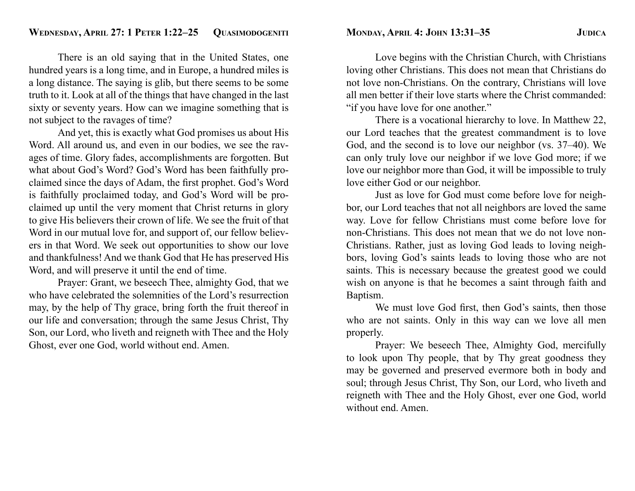There is an old saying that in the United States, one hundred years is a long time, and in Europe, a hundred miles is a long distance. The saying is glib, but there seems to be some truth to it. Look at all of the things that have changed in the last sixty or seventy years. How can we imagine something that is not subject to the ravages of time?

 And yet, this is exactly what God promises us about His Word. All around us, and even in our bodies, we see the ravages of time. Glory fades, accomplishments are forgotten. But what about God's Word? God's Word has been faithfully proclaimed since the days of Adam, the first prophet. God's Word is faithfully proclaimed today, and God's Word will be proclaimed up until the very moment that Christ returns in glory to give His believers their crown of life. We see the fruit of that Word in our mutual love for, and support of, our fellow believers in that Word. We seek out opportunities to show our love and thankfulness! And we thank God that He has preserved His Word, and will preserve it until the end of time.

 Prayer: Grant, we beseech Thee, almighty God, that we who have celebrated the solemnities of the Lord's resurrection may, by the help of Thy grace, bring forth the fruit thereof in our life and conversation; through the same Jesus Christ, Thy Son, our Lord, who liveth and reigneth with Thee and the Holy Ghost, ever one God, world without end. Amen.

 Love begins with the Christian Church, with Christians loving other Christians. This does not mean that Christians do not love non-Christians. On the contrary, Christians will love all men better if their love starts where the Christ commanded: "if you have love for one another."

 There is a vocational hierarchy to love. In Matthew 22, our Lord teaches that the greatest commandment is to love God, and the second is to love our neighbor (vs. 37–40). We can only truly love our neighbor if we love God more; if we love our neighbor more than God, it will be impossible to truly love either God or our neighbor.

 Just as love for God must come before love for neighbor, our Lord teaches that not all neighbors are loved the same way. Love for fellow Christians must come before love for non-Christians. This does not mean that we do not love non-Christians. Rather, just as loving God leads to loving neighbors, loving God's saints leads to loving those who are not saints. This is necessary because the greatest good we could wish on anyone is that he becomes a saint through faith and Baptism.

We must love God first, then God's saints, then those who are not saints. Only in this way can we love all men properly.

 Prayer: We beseech Thee, Almighty God, mercifully to look upon Thy people, that by Thy great goodness they may be governed and preserved evermore both in body and soul; through Jesus Christ, Thy Son, our Lord, who liveth and reigneth with Thee and the Holy Ghost, ever one God, world without end. Amen.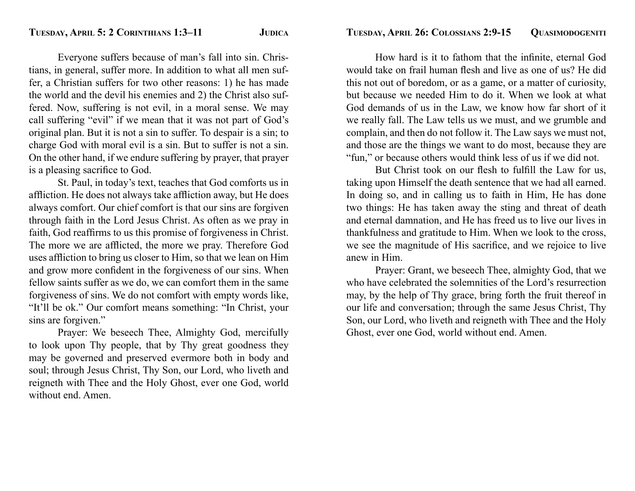Everyone suffers because of man's fall into sin. Christians, in general, suffer more. In addition to what all men suffer, a Christian suffers for two other reasons: 1) he has made the world and the devil his enemies and 2) the Christ also suffered. Now, suffering is not evil, in a moral sense. We may call suffering "evil" if we mean that it was not part of God's original plan. But it is not a sin to suffer. To despair is a sin; to charge God with moral evil is a sin. But to suffer is not a sin. On the other hand, if we endure suffering by prayer, that prayer is a pleasing sacrifice to God.

 St. Paul, in today's text, teaches that God comforts us in affliction. He does not always take affliction away, but He does always comfort. Our chief comfort is that our sins are forgiven through faith in the Lord Jesus Christ. As often as we pray in faith, God reaffirms to us this promise of forgiveness in Christ. The more we are afflicted, the more we pray. Therefore God uses affliction to bring us closer to Him, so that we lean on Him and grow more confident in the forgiveness of our sins. When fellow saints suffer as we do, we can comfort them in the same forgiveness of sins. We do not comfort with empty words like, "It'll be ok." Our comfort means something: "In Christ, your sins are forgiven."

 Prayer: We beseech Thee, Almighty God, mercifully to look upon Thy people, that by Thy great goodness they may be governed and preserved evermore both in body and soul; through Jesus Christ, Thy Son, our Lord, who liveth and reigneth with Thee and the Holy Ghost, ever one God, world without end. Amen.

How hard is it to fathom that the infinite, eternal God would take on frail human flesh and live as one of us? He did this not out of boredom, or as a game, or a matter of curiosity, but because we needed Him to do it. When we look at what God demands of us in the Law, we know how far short of it we really fall. The Law tells us we must, and we grumble and complain, and then do not follow it. The Law says we must not, and those are the things we want to do most, because they are "fun," or because others would think less of us if we did not.

But Christ took on our flesh to fulfill the Law for us, taking upon Himself the death sentence that we had all earned. In doing so, and in calling us to faith in Him, He has done two things: He has taken away the sting and threat of death and eternal damnation, and He has freed us to live our lives in thankfulness and gratitude to Him. When we look to the cross, we see the magnitude of His sacrifice, and we rejoice to live anew in Him.

 Prayer: Grant, we beseech Thee, almighty God, that we who have celebrated the solemnities of the Lord's resurrection may, by the help of Thy grace, bring forth the fruit thereof in our life and conversation; through the same Jesus Christ, Thy Son, our Lord, who liveth and reigneth with Thee and the Holy Ghost, ever one God, world without end. Amen.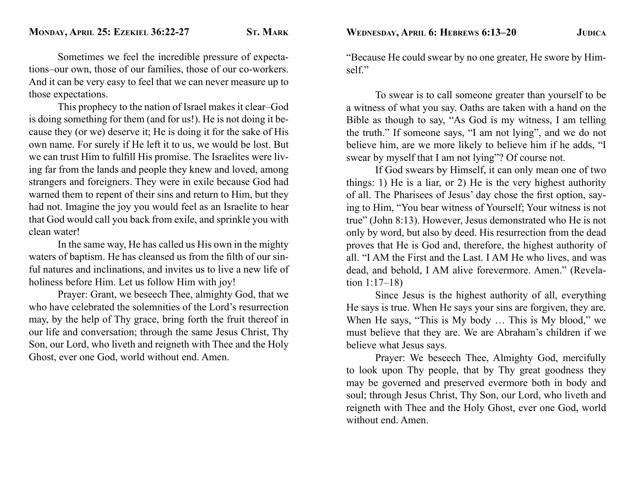Sometimes we feel the incredible pressure of expectations–our own, those of our families, those of our co-workers. And it can be very easy to feel that we can never measure up to those expectations.

 This prophecy to the nation of Israel makes it clear–God is doing something for them (and for us!). He is not doing it because they (or we) deserve it; He is doing it for the sake of His own name. For surely if He left it to us, we would be lost. But we can trust Him to fulfill His promise. The Israelites were living far from the lands and people they knew and loved, among strangers and foreigners. They were in exile because God had warned them to repent of their sins and return to Him, but they had not. Imagine the joy you would feel as an Israelite to hear that God would call you back from exile, and sprinkle you with clean water!

 In the same way, He has called us His own in the mighty waters of baptism. He has cleansed us from the filth of our sinful natures and inclinations, and invites us to live a new life of holiness before Him. Let us follow Him with joy!

 Prayer: Grant, we beseech Thee, almighty God, that we who have celebrated the solemnities of the Lord's resurrection may, by the help of Thy grace, bring forth the fruit thereof in our life and conversation; through the same Jesus Christ, Thy Son, our Lord, who liveth and reigneth with Thee and the Holy Ghost, ever one God, world without end. Amen.

"Because He could swear by no one greater, He swore by Himself."

 To swear is to call someone greater than yourself to be a witness of what you say. Oaths are taken with a hand on the Bible as though to say, "As God is my witness, I am telling the truth." If someone says, "I am not lying", and we do not believe him, are we more likely to believe him if he adds, "I swear by myself that I am not lying"? Of course not.

 If God swears by Himself, it can only mean one of two things: 1) He is a liar, or 2) He is the very highest authority of all. The Pharisees of Jesus' day chose the first option, saying to Him, "You bear witness of Yourself; Your witness is not true" (John 8:13). However, Jesus demonstrated who He is not only by word, but also by deed. His resurrection from the dead proves that He is God and, therefore, the highest authority of all. "I AM the First and the Last. I AM He who lives, and was dead, and behold, I AM alive forevermore. Amen." (Revelation 1:17–18)

 Since Jesus is the highest authority of all, everything He says is true. When He says your sins are forgiven, they are. When He says, "This is My body ... This is My blood," we must believe that they are. We are Abraham's children if we believe what Jesus says.

 Prayer: We beseech Thee, Almighty God, mercifully to look upon Thy people, that by Thy great goodness they may be governed and preserved evermore both in body and soul; through Jesus Christ, Thy Son, our Lord, who liveth and reigneth with Thee and the Holy Ghost, ever one God, world without end. Amen.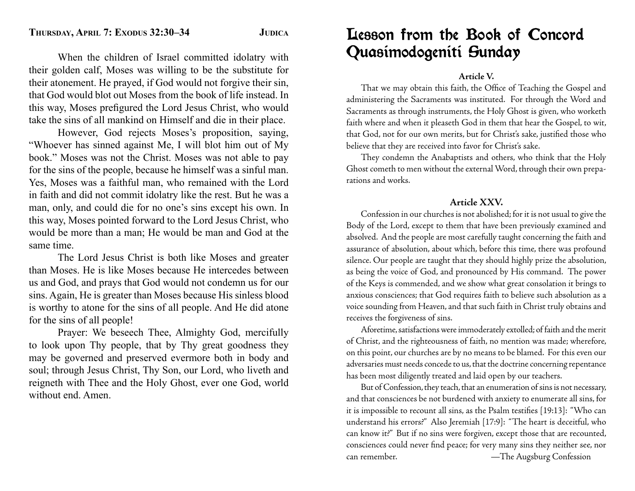When the children of Israel committed idolatry with their golden calf, Moses was willing to be the substitute for their atonement. He prayed, if God would not forgive their sin, that God would blot out Moses from the book of life instead. In this way, Moses prefigured the Lord Jesus Christ, who would take the sins of all mankind on Himself and die in their place.

 However, God rejects Moses's proposition, saying, "Whoever has sinned against Me, I will blot him out of My book." Moses was not the Christ. Moses was not able to pay for the sins of the people, because he himself was a sinful man. Yes, Moses was a faithful man, who remained with the Lord in faith and did not commit idolatry like the rest. But he was a man, only, and could die for no one's sins except his own. In this way, Moses pointed forward to the Lord Jesus Christ, who would be more than a man; He would be man and God at the same time.

 The Lord Jesus Christ is both like Moses and greater than Moses. He is like Moses because He intercedes between us and God, and prays that God would not condemn us for our sins. Again, He is greater than Moses because His sinless blood is worthy to atone for the sins of all people. And He did atone for the sins of all people!

 Prayer: We beseech Thee, Almighty God, mercifully to look upon Thy people, that by Thy great goodness they may be governed and preserved evermore both in body and soul; through Jesus Christ, Thy Son, our Lord, who liveth and reigneth with Thee and the Holy Ghost, ever one God, world without end. Amen.

# Lesson from the Book of Concord Quasimodogeniti Sunday

## **Article V.**

That we may obtain this faith, the Office of Teaching the Gospel and administering the Sacraments was instituted. For through the Word and Sacraments as through instruments, the Holy Ghost is given, who worketh faith where and when it pleaseth God in them that hear the Gospel, to wit, that God, not for our own merits, but for Christ's sake, justified those who believe that they are received into favor for Christ's sake.

 They condemn the Anabaptists and others, who think that the Holy Ghost cometh to men without the external Word, through their own preparations and works.

## **Article XXV.**

 Confession in our churches is not abolished; for it is not usual to give the Body of the Lord, except to them that have been previously examined and absolved. And the people are most carefully taught concerning the faith and assurance of absolution, about which, before this time, there was profound silence. Our people are taught that they should highly prize the absolution, as being the voice of God, and pronounced by His command. The power of the Keys is commended, and we show what great consolation it brings to anxious consciences; that God requires faith to believe such absolution as a voice sounding from Heaven, and that such faith in Christ truly obtains and receives the forgiveness of sins.

 Aforetime, satisfactions were immoderately extolled; of faith and the merit of Christ, and the righteousness of faith, no mention was made; wherefore, on this point, our churches are by no means to be blamed. For this even our adversaries must needs concede to us, that the doctrine concerning repentance has been most diligently treated and laid open by our teachers.

 But of Confession, they teach, that an enumeration of sins is not necessary, and that consciences be not burdened with anxiety to enumerate all sins, for it is impossible to recount all sins, as the Psalm testifies [19:13]: "Who can understand his errors?" Also Jeremiah [17:9]: "The heart is deceitful, who can know it?" But if no sins were forgiven, except those that are recounted, consciences could never find peace; for very many sins they neither see, nor can remember. —The Augsburg Confession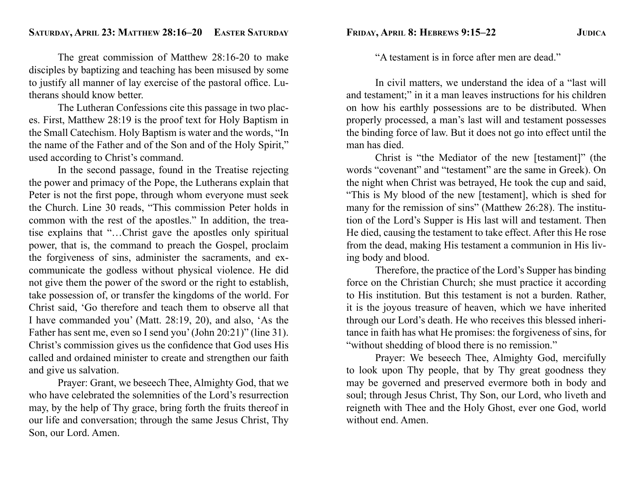The great commission of Matthew 28:16-20 to make disciples by baptizing and teaching has been misused by some to justify all manner of lay exercise of the pastoral office. Lutherans should know better.

 The Lutheran Confessions cite this passage in two places. First, Matthew 28:19 is the proof text for Holy Baptism in the Small Catechism. Holy Baptism is water and the words, "In the name of the Father and of the Son and of the Holy Spirit," used according to Christ's command.

 In the second passage, found in the Treatise rejecting the power and primacy of the Pope, the Lutherans explain that Peter is not the first pope, through whom everyone must seek the Church. Line 30 reads, "This commission Peter holds in common with the rest of the apostles." In addition, the treatise explains that "…Christ gave the apostles only spiritual power, that is, the command to preach the Gospel, proclaim the forgiveness of sins, administer the sacraments, and excommunicate the godless without physical violence. He did not give them the power of the sword or the right to establish, take possession of, or transfer the kingdoms of the world. For Christ said, 'Go therefore and teach them to observe all that I have commanded you' (Matt. 28:19, 20), and also, 'As the Father has sent me, even so I send you' (John 20:21)" (line 31). Christ's commission gives us the confidence that God uses His called and ordained minister to create and strengthen our faith and give us salvation.

 Prayer: Grant, we beseech Thee, Almighty God, that we who have celebrated the solemnities of the Lord's resurrection may, by the help of Thy grace, bring forth the fruits thereof in our life and conversation; through the same Jesus Christ, Thy Son, our Lord. Amen.

**FRIDAY, APRIL 8: HEBREWS 9:15–22 JUDICA**

"A testament is in force after men are dead."

 In civil matters, we understand the idea of a "last will and testament;" in it a man leaves instructions for his children on how his earthly possessions are to be distributed. When properly processed, a man's last will and testament possesses the binding force of law. But it does not go into effect until the man has died.

 Christ is "the Mediator of the new [testament]" (the words "covenant" and "testament" are the same in Greek). On the night when Christ was betrayed, He took the cup and said, "This is My blood of the new [testament], which is shed for many for the remission of sins" (Matthew 26:28). The institution of the Lord's Supper is His last will and testament. Then He died, causing the testament to take effect. After this He rose from the dead, making His testament a communion in His living body and blood.

 Therefore, the practice of the Lord's Supper has binding force on the Christian Church; she must practice it according to His institution. But this testament is not a burden. Rather, it is the joyous treasure of heaven, which we have inherited through our Lord's death. He who receives this blessed inheritance in faith has what He promises: the forgiveness of sins, for "without shedding of blood there is no remission."

 Prayer: We beseech Thee, Almighty God, mercifully to look upon Thy people, that by Thy great goodness they may be governed and preserved evermore both in body and soul; through Jesus Christ, Thy Son, our Lord, who liveth and reigneth with Thee and the Holy Ghost, ever one God, world without end. Amen.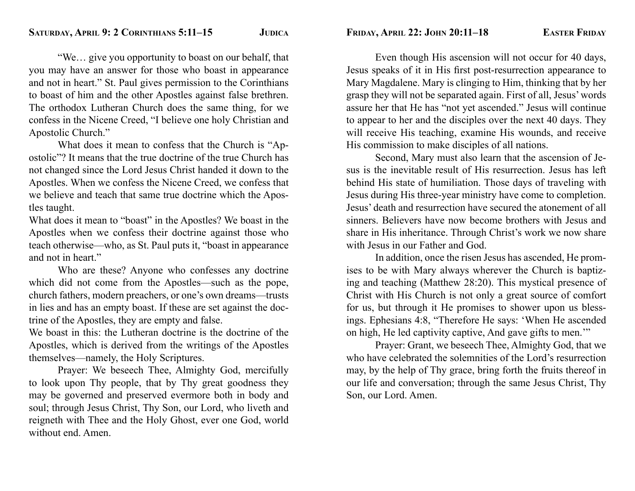"We… give you opportunity to boast on our behalf, that you may have an answer for those who boast in appearance and not in heart." St. Paul gives permission to the Corinthians to boast of him and the other Apostles against false brethren. The orthodox Lutheran Church does the same thing, for we confess in the Nicene Creed, "I believe one holy Christian and Apostolic Church."

 What does it mean to confess that the Church is "Apostolic"? It means that the true doctrine of the true Church has not changed since the Lord Jesus Christ handed it down to the Apostles. When we confess the Nicene Creed, we confess that we believe and teach that same true doctrine which the Apostles taught.

What does it mean to "boast" in the Apostles? We boast in the Apostles when we confess their doctrine against those who teach otherwise—who, as St. Paul puts it, "boast in appearance and not in heart."

 Who are these? Anyone who confesses any doctrine which did not come from the Apostles—such as the pope, church fathers, modern preachers, or one's own dreams—trusts in lies and has an empty boast. If these are set against the doctrine of the Apostles, they are empty and false.

We boast in this: the Lutheran doctrine is the doctrine of the Apostles, which is derived from the writings of the Apostles themselves—namely, the Holy Scriptures.

 Prayer: We beseech Thee, Almighty God, mercifully to look upon Thy people, that by Thy great goodness they may be governed and preserved evermore both in body and soul; through Jesus Christ, Thy Son, our Lord, who liveth and reigneth with Thee and the Holy Ghost, ever one God, world without end. Amen.

**FRIDAY, APRIL 22: JOHN 20:11–18 EASTER FRIDAY**

 Even though His ascension will not occur for 40 days, Jesus speaks of it in His first post-resurrection appearance to Mary Magdalene. Mary is clinging to Him, thinking that by her grasp they will not be separated again. First of all, Jesus' words assure her that He has "not yet ascended." Jesus will continue to appear to her and the disciples over the next 40 days. They will receive His teaching, examine His wounds, and receive His commission to make disciples of all nations.

 Second, Mary must also learn that the ascension of Jesus is the inevitable result of His resurrection. Jesus has left behind His state of humiliation. Those days of traveling with Jesus during His three-year ministry have come to completion. Jesus' death and resurrection have secured the atonement of all sinners. Believers have now become brothers with Jesus and share in His inheritance. Through Christ's work we now share with Jesus in our Father and God.

 In addition, once the risen Jesus has ascended, He promises to be with Mary always wherever the Church is baptizing and teaching (Matthew 28:20). This mystical presence of Christ with His Church is not only a great source of comfort for us, but through it He promises to shower upon us blessings. Ephesians 4:8, " Therefore He says: 'When He ascended on high, He led captivity captive, And gave gifts to men.'"

 Prayer: Grant, we beseech Thee, Almighty God, that we who have celebrated the solemnities of the Lord's resurrection may, by the help of Thy grace, bring forth the fruits thereof in our life and conversation; through the same Jesus Christ, Thy Son, our Lord. Amen.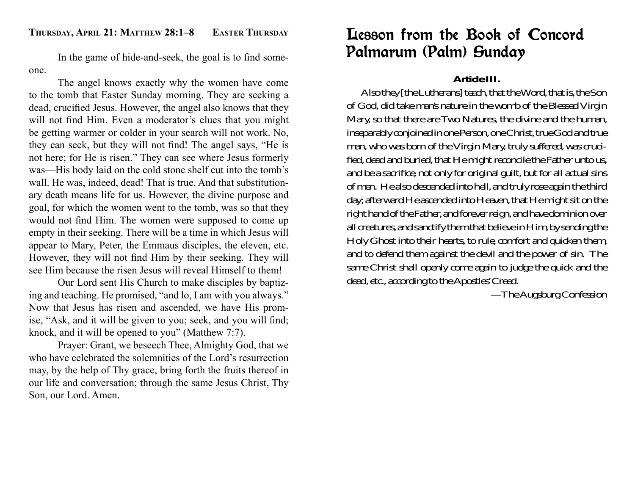In the game of hide-and-seek, the goal is to find someone.

 The angel knows exactly why the women have come to the tomb that Easter Sunday morning. They are seeking a dead, crucified Jesus. However, the angel also knows that they will not find Him. Even a moderator's clues that you might be getting warmer or colder in your search will not work. No, they can seek, but they will not find! The angel says, "He is not here; for He is risen." They can see where Jesus formerly was—His body laid on the cold stone shelf cut into the tomb's wall. He was, indeed, dead! That is true. And that substitutionary death means life for us. However, the divine purpose and goal, for which the women went to the tomb, was so that they would not find Him. The women were supposed to come up empty in their seeking. There will be a time in which Jesus will appear to Mary, Peter, the Emmaus disciples, the eleven, etc. However, they will not find Him by their seeking. They will see Him because the risen Jesus will reveal Himself to them!

 Our Lord sent His Church to make disciples by baptizing and teaching. He promised, "and lo, I am with you always." Now that Jesus has risen and ascended, we have His promise, "Ask, and it will be given to you; seek, and you will find; knock, and it will be opened to you" (Matthew 7:7).

 Prayer: Grant, we beseech Thee, Almighty God, that we who have celebrated the solemnities of the Lord's resurrection may, by the help of Thy grace, bring forth the fruits thereof in our life and conversation; through the same Jesus Christ, Thy Son, our Lord. Amen.

# Lesson from the Book of Concord Palmarum (Palm) Sunday

## **Article III.**

 Also they [the Lutherans] teach, that the Word, that is, the Son of God, did take man's nature in the womb of the Blessed Virgin Mary, so that there are Two Natures, the divine and the human, inseparably conjoined in one Person, one Christ, true God and true man, who was born of the Virgin Mary, truly suffered, was crucified, dead and buried, that He might reconcile the Father unto us, and be a sacrifice, not only for original guilt, but for all actual sins of men. He also descended into hell, and truly rose again the third day; afterward He ascended into Heaven, that He might sit on the right hand of the Father, and forever reign, and have dominion over all creatures, and sanctify them that believe in Him, by sending the Holy Ghost into their hearts, to rule, comfort and quicken them, and to defend them against the devil and the power of sin. The same Christ shall openly come again to judge the quick and the dead, etc., according to the Apostles' Creed.

—The Augsburg Confession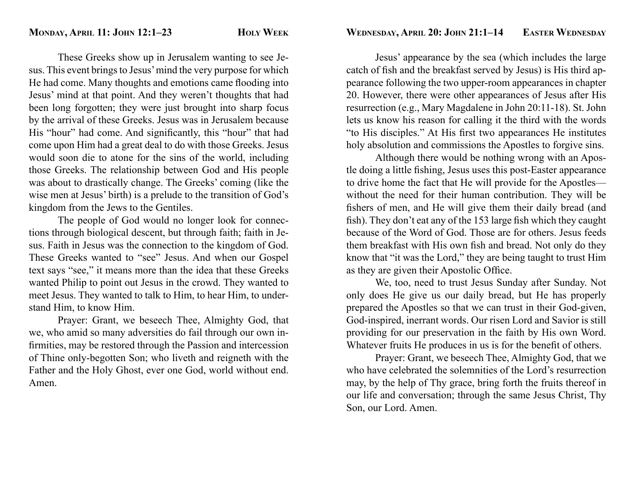These Greeks show up in Jerusalem wanting to see Jesus. This event brings to Jesus' mind the very purpose for which He had come. Many thoughts and emotions came flooding into Jesus' mind at that point. And they weren't thoughts that had been long forgotten; they were just brought into sharp focus by the arrival of these Greeks. Jesus was in Jerusalem because His "hour" had come. And significantly, this "hour" that had come upon Him had a great deal to do with those Greeks. Jesus would soon die to atone for the sins of the world, including those Greeks. The relationship between God and His people was about to drastically change. The Greeks' coming (like the wise men at Jesus' birth) is a prelude to the transition of God's kingdom from the Jews to the Gentiles.

 The people of God would no longer look for connections through biological descent, but through faith; faith in Jesus. Faith in Jesus was the connection to the kingdom of God. These Greeks wanted to "see" Jesus. And when our Gospel text says "see," it means more than the idea that these Greeks wanted Philip to point out Jesus in the crowd. They wanted to meet Jesus. They wanted to talk to Him, to hear Him, to understand Him, to know Him.

 Prayer: Grant, we beseech Thee, Almighty God, that we, who amid so many adversities do fail through our own infirmities, may be restored through the Passion and intercession of Thine only-begotten Son; who liveth and reigneth with the Father and the Holy Ghost, ever one God, world without end. Amen.

 Jesus' appearance by the sea (which includes the large catch of fish and the breakfast served by Jesus) is His third appearance following the two upper-room appearances in chapter 20. However, there were other appearances of Jesus after His resurrection (e.g., Mary Magdalene in John 20:11-18). St. John lets us know his reason for calling it the third with the words "to His disciples." At His first two appearances He institutes holy absolution and commissions the Apostles to forgive sins.

 Although there would be nothing wrong with an Apostle doing a little fishing, Jesus uses this post-Easter appearance to drive home the fact that He will provide for the Apostles without the need for their human contribution. They will be fishers of men, and He will give them their daily bread (and fish). They don't eat any of the 153 large fish which they caught because of the Word of God. Those are for others. Jesus feeds them breakfast with His own fish and bread. Not only do they know that "it was the Lord," they are being taught to trust Him as they are given their Apostolic Office.

 We, too, need to trust Jesus Sunday after Sunday. Not only does He give us our daily bread, but He has properly prepared the Apostles so that we can trust in their God-given, God-inspired, inerrant words. Our risen Lord and Savior is still providing for our preservation in the faith by His own Word. Whatever fruits He produces in us is for the benefit of others.

 Prayer: Grant, we beseech Thee, Almighty God, that we who have celebrated the solemnities of the Lord's resurrection may, by the help of Thy grace, bring forth the fruits thereof in our life and conversation; through the same Jesus Christ, Thy Son, our Lord. Amen.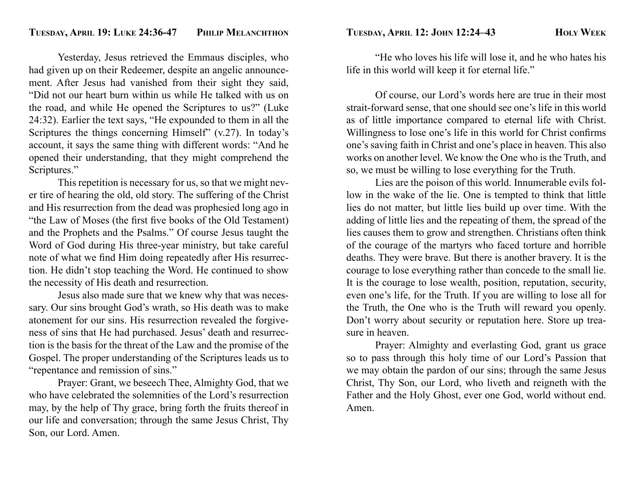Yesterday, Jesus retrieved the Emmaus disciples, who had given up on their Redeemer, despite an angelic announcement. After Jesus had vanished from their sight they said, "Did not our heart burn within us while He talked with us on the road, and while He opened the Scriptures to us?" (Luke 24:32). Earlier the text says, "He expounded to them in all the Scriptures the things concerning Himself" (v.27). In today's account, it says the same thing with different words: "And he opened their understanding, that they might comprehend the Scriptures."

 This repetition is necessary for us, so that we might never tire of hearing the old, old story. The suffering of the Christ and His resurrection from the dead was prophesied long ago in "the Law of Moses (the first five books of the Old Testament) and the Prophets and the Psalms." Of course Jesus taught the Word of God during His three-year ministry, but take careful note of what we find Him doing repeatedly after His resurrection. He didn't stop teaching the Word. He continued to show the necessity of His death and resurrection.

 Jesus also made sure that we knew why that was necessary. Our sins brought God's wrath, so His death was to make atonement for our sins. His resurrection revealed the forgiveness of sins that He had purchased. Jesus' death and resurrection is the basis for the threat of the Law and the promise of the Gospel. The proper understanding of the Scriptures leads us to "repentance and remission of sins."

 Prayer: Grant, we beseech Thee, Almighty God, that we who have celebrated the solemnities of the Lord's resurrection may, by the help of Thy grace, bring forth the fruits thereof in our life and conversation; through the same Jesus Christ, Thy Son, our Lord. Amen.

 "He who loves his life will lose it, and he who hates his life in this world will keep it for eternal life."

 Of course, our Lord's words here are true in their most strait-forward sense, that one should see one's life in this world as of little importance compared to eternal life with Christ. Willingness to lose one's life in this world for Christ confirms one's saving faith in Christ and one's place in heaven. This also works on another level. We know the One who is the Truth, and so, we must be willing to lose everything for the Truth.

 Lies are the poison of this world. Innumerable evils follow in the wake of the lie. One is tempted to think that little lies do not matter, but little lies build up over time. With the adding of little lies and the repeating of them, the spread of the lies causes them to grow and strengthen. Christians often think of the courage of the martyrs who faced torture and horrible deaths. They were brave. But there is another bravery. It is the courage to lose everything rather than concede to the small lie. It is the courage to lose wealth, position, reputation, security, even one's life, for the Truth. If you are willing to lose all for the Truth, the One who is the Truth will reward you openly. Don't worry about security or reputation here. Store up treasure in heaven.

 Prayer: Almighty and everlasting God, grant us grace so to pass through this holy time of our Lord's Passion that we may obtain the pardon of our sins; through the same Jesus Christ, Thy Son, our Lord, who liveth and reigneth with the Father and the Holy Ghost, ever one God, world without end. Amen.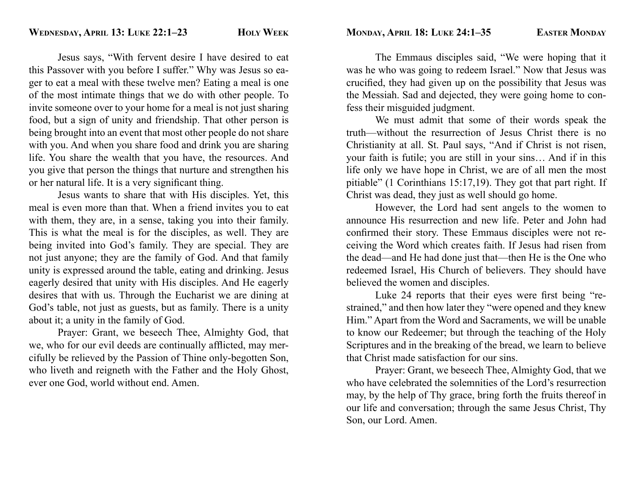Jesus says, "With fervent desire I have desired to eat this Passover with you before I suffer." Why was Jesus so eager to eat a meal with these twelve men? Eating a meal is one of the most intimate things that we do with other people. To invite someone over to your home for a meal is not just sharing food, but a sign of unity and friendship. That other person is being brought into an event that most other people do not share with you. And when you share food and drink you are sharing life. You share the wealth that you have, the resources. And you give that person the things that nurture and strengthen his or her natural life. It is a very significant thing.

 Jesus wants to share that with His disciples. Yet, this meal is even more than that. When a friend invites you to eat with them, they are, in a sense, taking you into their family. This is what the meal is for the disciples, as well. They are being invited into God's family. They are special. They are not just anyone; they are the family of God. And that family unity is expressed around the table, eating and drinking. Jesus eagerly desired that unity with His disciples. And He eagerly desires that with us. Through the Eucharist we are dining at God's table, not just as guests, but as family. There is a unity about it; a unity in the family of God.

 Prayer: Grant, we beseech Thee, Almighty God, that we, who for our evil deeds are continually afflicted, may mercifully be relieved by the Passion of Thine only-begotten Son, who liveth and reigneth with the Father and the Holy Ghost, ever one God, world without end. Amen.

 The Emmaus disciples said, "We were hoping that it was he who was going to redeem Israel." Now that Jesus was crucified, they had given up on the possibility that Jesus was the Messiah. Sad and dejected, they were going home to confess their misguided judgment.

 We must admit that some of their words speak the truth—without the resurrection of Jesus Christ there is no Christianity at all. St. Paul says, "And if Christ is not risen, your faith is futile; you are still in your sins… And if in this life only we have hope in Christ, we are of all men the most pitiable" (1 Corinthians 15:17,19). They got that part right. If Christ was dead, they just as well should go home.

 However, the Lord had sent angels to the women to announce His resurrection and new life. Peter and John had confirmed their story. These Emmaus disciples were not receiving the Word which creates faith. If Jesus had risen from the dead—and He had done just that—then He is the One who redeemed Israel, His Church of believers. They should have believed the women and disciples.

Luke 24 reports that their eyes were first being "restrained," and then how later they "were opened and they knew Him." Apart from the Word and Sacraments, we will be unable to know our Redeemer; but through the teaching of the Holy Scriptures and in the breaking of the bread, we learn to believe that Christ made satisfaction for our sins.

 Prayer: Grant, we beseech Thee, Almighty God, that we who have celebrated the solemnities of the Lord's resurrection may, by the help of Thy grace, bring forth the fruits thereof in our life and conversation; through the same Jesus Christ, Thy Son, our Lord. Amen.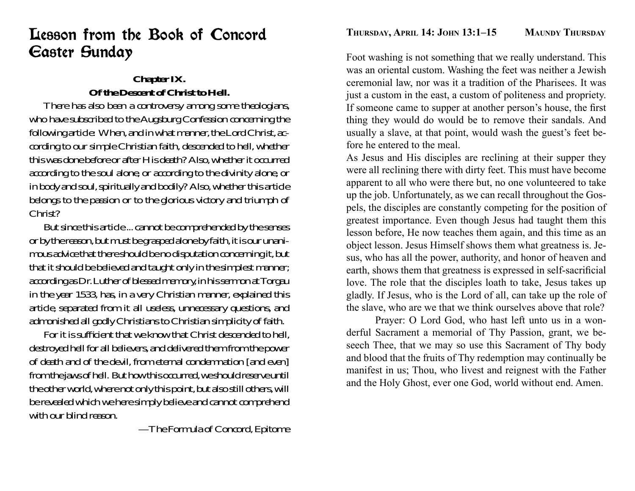# Lesson from the Book of Concord Easter Sunday

## **Chapter IX. Of the Descent of Christ to Hell.**

 There has also been a controversy among some theologians, who have subscribed to the Augsburg Confession concerning the following article: When, and in what manner, the Lord Christ, according to our simple Christian faith, descended to hell, whether this was done before or after His death? Also, whether it occurred according to the soul alone, or according to the divinity alone, or in body and soul, spiritually and bodily? Also, whether this article belongs to the passion or to the glorious victory and triumph of Christ?

 But since this article ... cannot be comprehended by the senses or by the reason, but must be grasped alone by faith, it is our unanimous advice that there should be no disputation concerning it, but that it should be believed and taught only in the simplest manner; according as Dr. Luther of blessed memory, in his sermon at Torgau in the year 1533, has, in a very Christian manner, explained this article, separated from it all useless, unnecessary questions, and admonished all godly Christians to Christian simplicity of faith.

For it is sufficient that we know that Christ descended to hell. destroyed hell for all believers, and delivered them from the power of death and of the devil, from eternal condemnation [and even] from the jaws of hell. But how this occurred, we should reserve until the other world, where not only this point, but also still others, will be revealed which we here simply believe and cannot comprehend with our blind reason.

—The Formula of Concord, Epitome

Foot washing is not something that we really understand. This was an oriental custom. Washing the feet was neither a Jewish ceremonial law, nor was it a tradition of the Pharisees. It was just a custom in the east, a custom of politeness and propriety. If someone came to supper at another person's house, the first thing they would do would be to remove their sandals. And usually a slave, at that point, would wash the guest's feet before he entered to the meal.

As Jesus and His disciples are reclining at their supper they were all reclining there with dirty feet. This must have become apparent to all who were there but, no one volunteered to take up the job. Unfortunately, as we can recall throughout the Gospels, the disciples are constantly competing for the position of greatest importance. Even though Jesus had taught them this lesson before, He now teaches them again, and this time as an object lesson. Jesus Himself shows them what greatness is. Jesus, who has all the power, authority, and honor of heaven and earth, shows them that greatness is expressed in self-sacrificial love. The role that the disciples loath to take, Jesus takes up gladly. If Jesus, who is the Lord of all, can take up the role of the slave, who are we that we think ourselves above that role?

 Prayer: O Lord God, who hast left unto us in a wonderful Sacrament a memorial of Thy Passion, grant, we beseech Thee, that we may so use this Sacrament of Thy body and blood that the fruits of Thy redemption may continually be manifest in us; Thou, who livest and reignest with the Father and the Holy Ghost, ever one God, world without end. Amen.